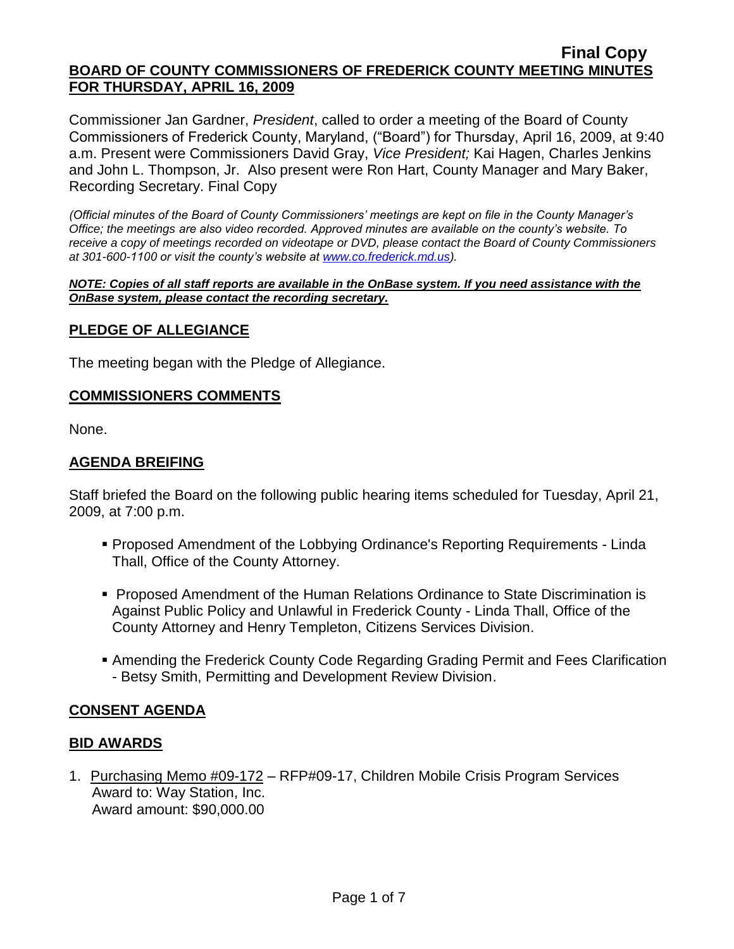Commissioner Jan Gardner, *President*, called to order a meeting of the Board of County Commissioners of Frederick County, Maryland, ("Board") for Thursday, April 16, 2009, at 9:40 a.m. Present were Commissioners David Gray, *Vice President;* Kai Hagen, Charles Jenkins and John L. Thompson, Jr. Also present were Ron Hart, County Manager and Mary Baker, Recording Secretary. Final Copy

*(Official minutes of the Board of County Commissioners' meetings are kept on file in the County Manager's Office; the meetings are also video recorded. Approved minutes are available on the county's website. To receive a copy of meetings recorded on videotape or DVD, please contact the Board of County Commissioners at 301-600-1100 or visit the county's website at [www.co.frederick.md.us\)](http://www.co.frederick.md.us/).*

*NOTE: Copies of all staff reports are available in the OnBase system. If you need assistance with the OnBase system, please contact the recording secretary.*

### **PLEDGE OF ALLEGIANCE**

The meeting began with the Pledge of Allegiance.

#### **COMMISSIONERS COMMENTS**

None.

### **AGENDA BREIFING**

Staff briefed the Board on the following public hearing items scheduled for Tuesday, April 21, 2009, at 7:00 p.m.

- Proposed Amendment of the Lobbying Ordinance's Reporting Requirements Linda Thall, Office of the County Attorney.
- Proposed Amendment of the Human Relations Ordinance to State Discrimination is Against Public Policy and Unlawful in Frederick County - Linda Thall, Office of the County Attorney and Henry Templeton, Citizens Services Division.
- Amending the Frederick County Code Regarding Grading Permit and Fees Clarification - Betsy Smith, Permitting and Development Review Division.

# **CONSENT AGENDA**

#### **BID AWARDS**

1. Purchasing Memo #09-172 – RFP#09-17, Children Mobile Crisis Program Services Award to: Way Station, Inc. Award amount: \$90,000.00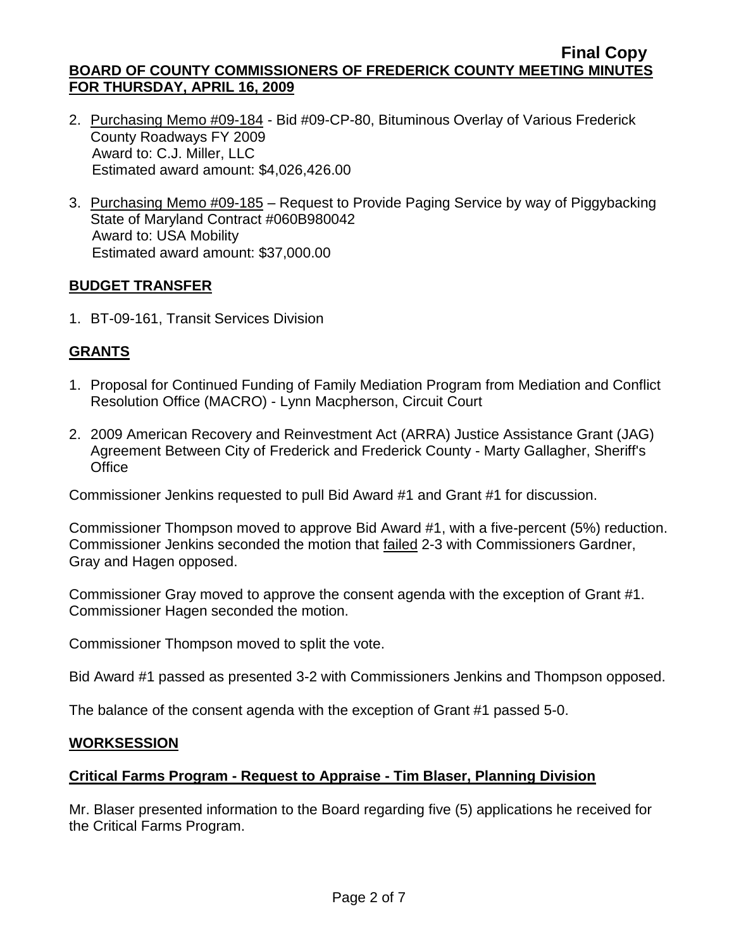- 2. Purchasing Memo #09-184 Bid #09-CP-80, Bituminous Overlay of Various Frederick County Roadways FY 2009 Award to: C.J. Miller, LLC Estimated award amount: \$4,026,426.00
- 3. Purchasing Memo #09-185 Request to Provide Paging Service by way of Piggybacking State of Maryland Contract #060B980042 Award to: USA Mobility Estimated award amount: \$37,000.00

# **BUDGET TRANSFER**

1. BT-09-161, Transit Services Division

# **GRANTS**

- 1. Proposal for Continued Funding of Family Mediation Program from Mediation and Conflict Resolution Office (MACRO) - Lynn Macpherson, Circuit Court
- 2. 2009 American Recovery and Reinvestment Act (ARRA) Justice Assistance Grant (JAG) Agreement Between City of Frederick and Frederick County - Marty Gallagher, Sheriff's **Office**

Commissioner Jenkins requested to pull Bid Award #1 and Grant #1 for discussion.

Commissioner Thompson moved to approve Bid Award #1, with a five-percent (5%) reduction. Commissioner Jenkins seconded the motion that failed 2-3 with Commissioners Gardner, Gray and Hagen opposed.

Commissioner Gray moved to approve the consent agenda with the exception of Grant #1. Commissioner Hagen seconded the motion.

Commissioner Thompson moved to split the vote.

Bid Award #1 passed as presented 3-2 with Commissioners Jenkins and Thompson opposed.

The balance of the consent agenda with the exception of Grant #1 passed 5-0.

# **WORKSESSION**

# **Critical Farms Program - Request to Appraise - Tim Blaser, Planning Division**

Mr. Blaser presented information to the Board regarding five (5) applications he received for the Critical Farms Program.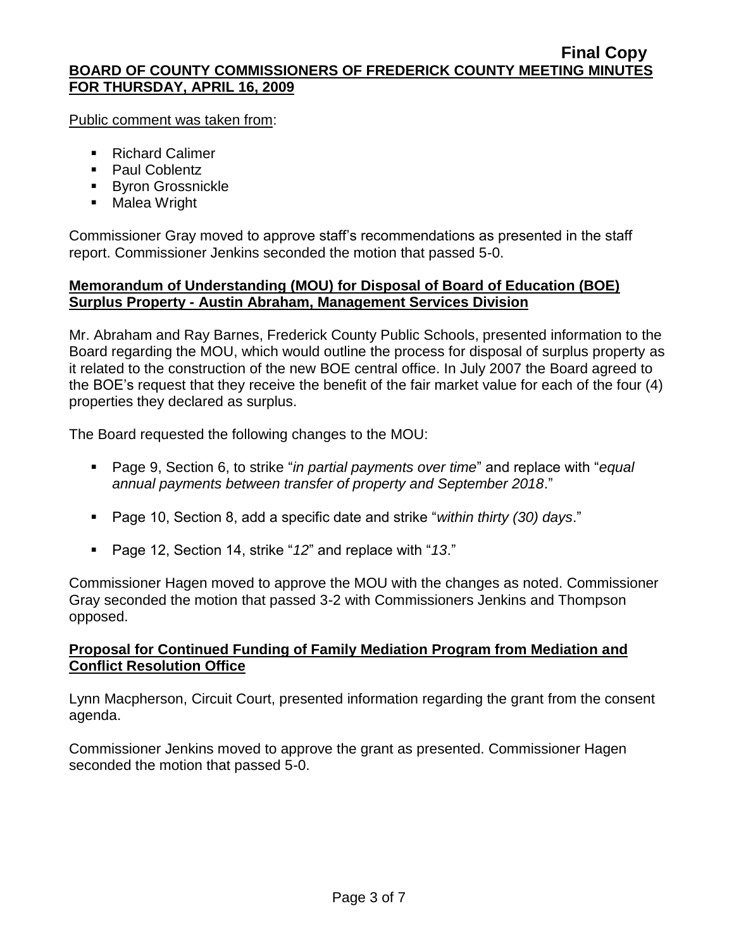Public comment was taken from:

- Richard Calimer
- **Paul Coblentz**
- **Byron Grossnickle**
- **Malea Wright**

Commissioner Gray moved to approve staff's recommendations as presented in the staff report. Commissioner Jenkins seconded the motion that passed 5-0.

# **Memorandum of Understanding (MOU) for Disposal of Board of Education (BOE) Surplus Property - Austin Abraham, Management Services Division**

Mr. Abraham and Ray Barnes, Frederick County Public Schools, presented information to the Board regarding the MOU, which would outline the process for disposal of surplus property as it related to the construction of the new BOE central office. In July 2007 the Board agreed to the BOE's request that they receive the benefit of the fair market value for each of the four (4) properties they declared as surplus.

The Board requested the following changes to the MOU:

- Page 9, Section 6, to strike "*in partial payments over time*" and replace with "*equal annual payments between transfer of property and September 2018*."
- Page 10, Section 8, add a specific date and strike "*within thirty (30) days*."
- Page 12, Section 14, strike "*12*" and replace with "*13*."

Commissioner Hagen moved to approve the MOU with the changes as noted. Commissioner Gray seconded the motion that passed 3-2 with Commissioners Jenkins and Thompson opposed.

# **Proposal for Continued Funding of Family Mediation Program from Mediation and Conflict Resolution Office**

Lynn Macpherson, Circuit Court, presented information regarding the grant from the consent agenda.

Commissioner Jenkins moved to approve the grant as presented. Commissioner Hagen seconded the motion that passed 5-0.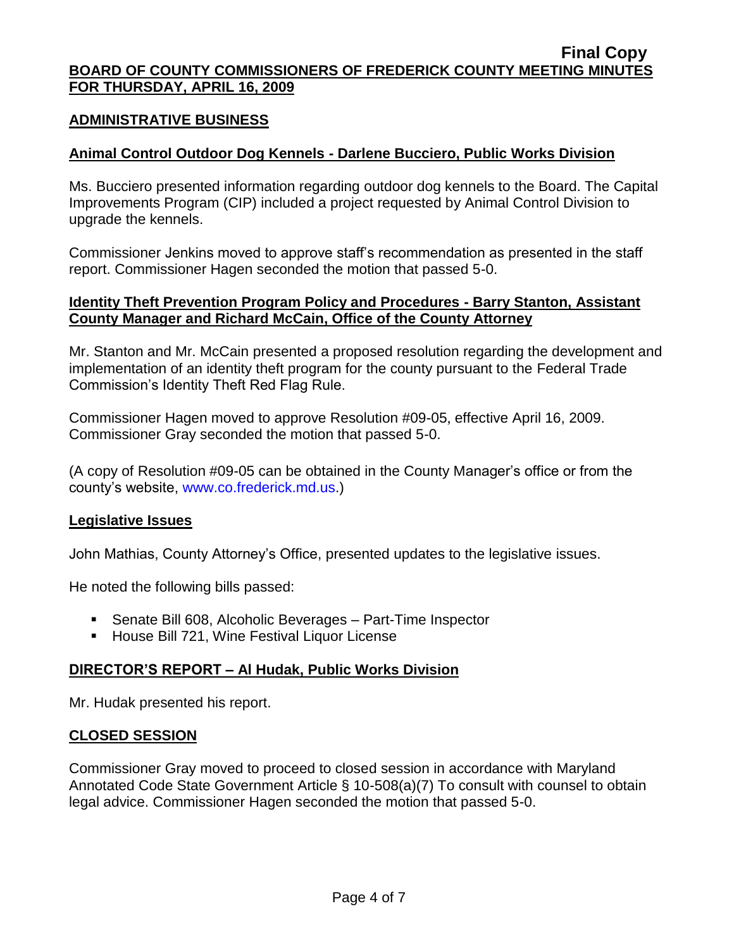### **ADMINISTRATIVE BUSINESS**

# **Animal Control Outdoor Dog Kennels - Darlene Bucciero, Public Works Division**

Ms. Bucciero presented information regarding outdoor dog kennels to the Board. The Capital Improvements Program (CIP) included a project requested by Animal Control Division to upgrade the kennels.

Commissioner Jenkins moved to approve staff's recommendation as presented in the staff report. Commissioner Hagen seconded the motion that passed 5-0.

### **Identity Theft Prevention Program Policy and Procedures - Barry Stanton, Assistant County Manager and Richard McCain, Office of the County Attorney**

Mr. Stanton and Mr. McCain presented a proposed resolution regarding the development and implementation of an identity theft program for the county pursuant to the Federal Trade Commission's Identity Theft Red Flag Rule.

Commissioner Hagen moved to approve Resolution #09-05, effective April 16, 2009. Commissioner Gray seconded the motion that passed 5-0.

(A copy of Resolution #09-05 can be obtained in the County Manager's office or from the county's website, [www.co.frederick.md.us.](www.co.frederick.md.us))

#### **Legislative Issues**

John Mathias, County Attorney's Office, presented updates to the legislative issues.

He noted the following bills passed:

- Senate Bill 608, Alcoholic Beverages Part-Time Inspector
- **House Bill 721, Wine Festival Liquor License**

# **DIRECTOR'S REPORT – Al Hudak, Public Works Division**

Mr. Hudak presented his report.

# **CLOSED SESSION**

Commissioner Gray moved to proceed to closed session in accordance with Maryland Annotated Code State Government Article § 10-508(a)(7) To consult with counsel to obtain legal advice. Commissioner Hagen seconded the motion that passed 5-0.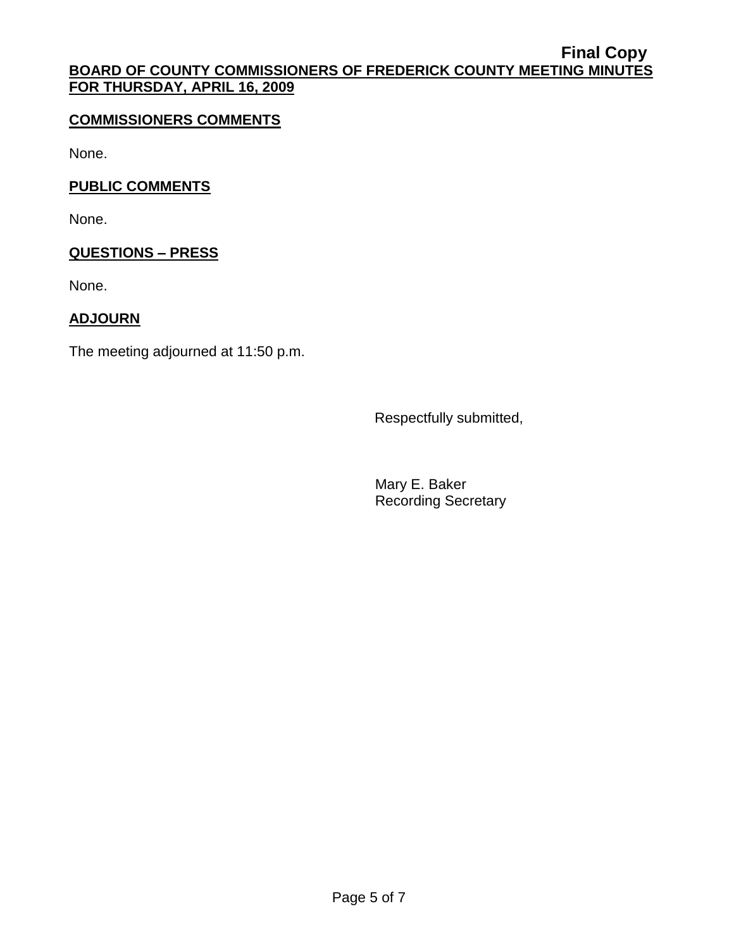# **COMMISSIONERS COMMENTS**

None.

# **PUBLIC COMMENTS**

None.

# **QUESTIONS – PRESS**

None.

# **ADJOURN**

The meeting adjourned at 11:50 p.m.

Respectfully submitted,

Mary E. Baker Recording Secretary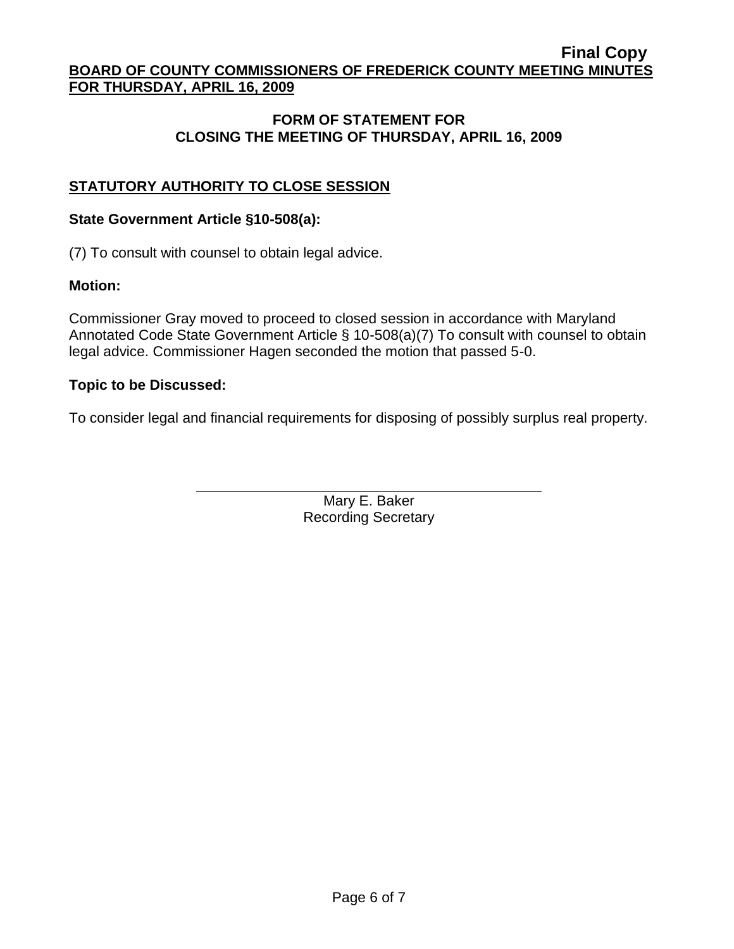# **FORM OF STATEMENT FOR CLOSING THE MEETING OF THURSDAY, APRIL 16, 2009**

# **STATUTORY AUTHORITY TO CLOSE SESSION**

### **State Government Article §10-508(a):**

(7) To consult with counsel to obtain legal advice.

# **Motion:**

Commissioner Gray moved to proceed to closed session in accordance with Maryland Annotated Code State Government Article § 10-508(a)(7) To consult with counsel to obtain legal advice. Commissioner Hagen seconded the motion that passed 5-0.

### **Topic to be Discussed:**

To consider legal and financial requirements for disposing of possibly surplus real property.

Mary E. Baker Recording Secretary